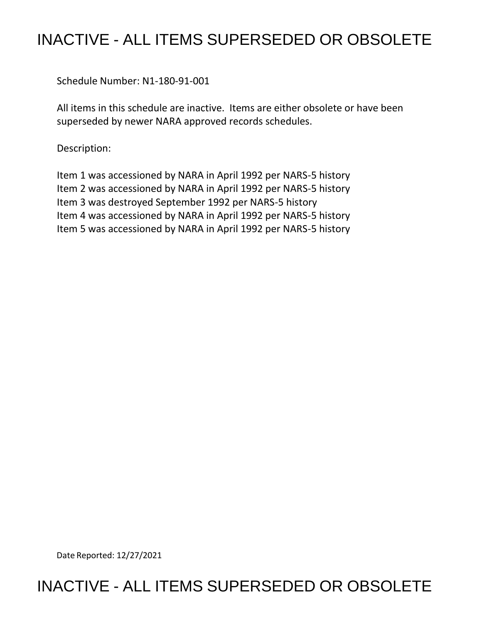## INACTIVE - ALL ITEMS SUPERSEDED OR OBSOLETE

Schedule Number: N1-180-91-001

 All items in this schedule are inactive. Items are either obsolete or have been superseded by newer NARA approved records schedules.

Description:

 Item 1 was accessioned by NARA in April 1992 per NARS-5 history Item 2 was accessioned by NARA in April 1992 per NARS-5 history Item 3 was destroyed September 1992 per NARS-5 history Item 4 was accessioned by NARA in April 1992 per NARS-5 history Item 5 was accessioned by NARA in April 1992 per NARS-5 history

Date Reported: 12/27/2021

## INACTIVE - ALL ITEMS SUPERSEDED OR OBSOLETE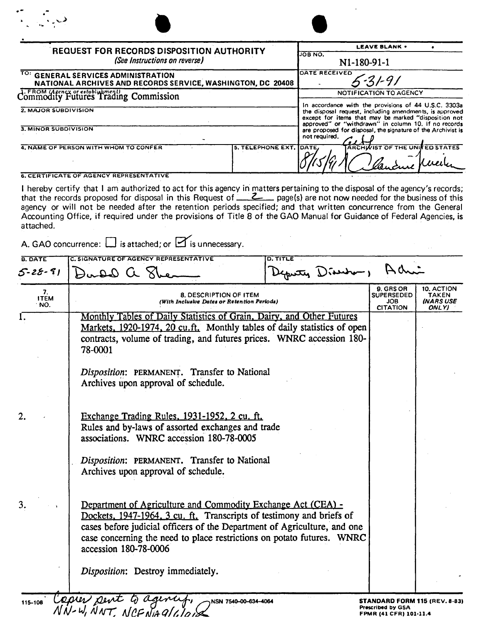| <b>REQUEST FOR RECORDS DISPOSITION AUTHORITY</b><br>(See Instructions on reverse)                  |                   | <b>LEAVE BLANK .</b><br>JOB NO.<br>N1-180-91-1                                                                                                                                                                                                                                                                                             |  |
|----------------------------------------------------------------------------------------------------|-------------------|--------------------------------------------------------------------------------------------------------------------------------------------------------------------------------------------------------------------------------------------------------------------------------------------------------------------------------------------|--|
| TO: GENERAL SERVICES ADMINISTRATION<br>NATIONAL ARCHIVES AND RECORDS SERVICE, WASHINGTON, DC 20408 |                   | DATE RECEIVED<br>31-91                                                                                                                                                                                                                                                                                                                     |  |
| Commodity Futures Trading Commission                                                               |                   | NOTIFICATION TO AGENCY<br>In accordance with the provisions of 44 U.S.C. 3303a<br>the disposal request, including amendments, is approved<br>except for items that may be marked "disposition not<br>approved" or "withdrawn" in column 10. If no records<br>are proposed for disposal, the signature of the Archivist is<br>not required. |  |
| 2. MAJOR SUBDIVISION                                                                               |                   |                                                                                                                                                                                                                                                                                                                                            |  |
| 3. MINOR SUBDIVISION                                                                               |                   |                                                                                                                                                                                                                                                                                                                                            |  |
| 4. NAME OF PERSON WITH WHOM TO CONFER                                                              | 5. TELEPHONE EXT. | <b>ARCHWIST OF THE UNIFED STATES</b><br>DATE,                                                                                                                                                                                                                                                                                              |  |

6. CERTIFICATE OF AGENCY REPRESENTATIVE

I hereby certify that I am authorized to act for this agency in matters pertaining to the disposal of the agency's records; that the records proposed for disposal in this Request of **Z**<sub>*zignerical* page(s) are not now needed for the business of this</sub> agency or will not be needed after the retention periods specified; and that written concurrence from the General Accounting Office, if required under the provisions of Title 8 of the GAO Manual for Guidance of Federal Agencies, is attached.

A. GAO concurrence:  $\Box$  is attached; or  $\Box$  is unnecessary.

| <b>B. DATE</b><br>$5 - 28 - 91$ | C. SIGNATURE OF AGENCY REPRESENTATIVE<br>D. TITLE<br>Deputy Diservo, Achi<br>Dudd a She                                                                                                                                                                                                                                                                  |                                                                              |                                                  |
|---------------------------------|----------------------------------------------------------------------------------------------------------------------------------------------------------------------------------------------------------------------------------------------------------------------------------------------------------------------------------------------------------|------------------------------------------------------------------------------|--------------------------------------------------|
| 7.<br><b>ITEM</b><br>NO.        | <b>8. DESCRIPTION OF ITEM</b><br>(With Inclusive Dates or Retention Periods)                                                                                                                                                                                                                                                                             | 9. GRS OR<br><b>SUPERSEDED</b><br>JOB<br><b>CITATION</b>                     | 10. ACTION<br><b>TAKEN</b><br>INARS USE<br>ONLY) |
| 1.                              | Monthly Tables of Daily Statistics of Grain, Dairy, and Other Futures<br>Markets, 1920-1974, 20 cu.ft. Monthly tables of daily statistics of open<br>contracts, volume of trading, and futures prices. WNRC accession 180-<br>78-0001<br>Disposition: PERMANENT. Transfer to National<br>Archives upon approval of schedule.                             |                                                                              |                                                  |
| 2.                              | Exchange Trading Rules, 1931-1952, 2 cu. ft.<br>Rules and by-laws of assorted exchanges and trade<br>associations. WNRC accession 180-78-0005<br>Disposition: PERMANENT. Transfer to National<br>Archives upon approval of schedule.                                                                                                                     |                                                                              |                                                  |
| 3.                              | Department of Agriculture and Commodity Exchange Act (CEA) -<br>Dockets, 1947-1964, 3 cu. ft. Transcripts of testimony and briefs of<br>cases before judicial officers of the Department of Agriculture, and one<br>case concerning the need to place restrictions on potato futures. WNRC<br>accession 180-78-0006<br>Disposition: Destroy immediately. |                                                                              |                                                  |
| 115-108                         | Copier pent to a<br>NSN 7540-00-634-4064<br>NN-W, NNT, NCFNAGILION                                                                                                                                                                                                                                                                                       | STANDARD FORM 115 (REV. 8-83)<br>Prescribed by GSA<br>FPMR (41 CFR) 101-11.4 |                                                  |

**Prescribed by GSA FPMR (41 CFR) 101·11,4**